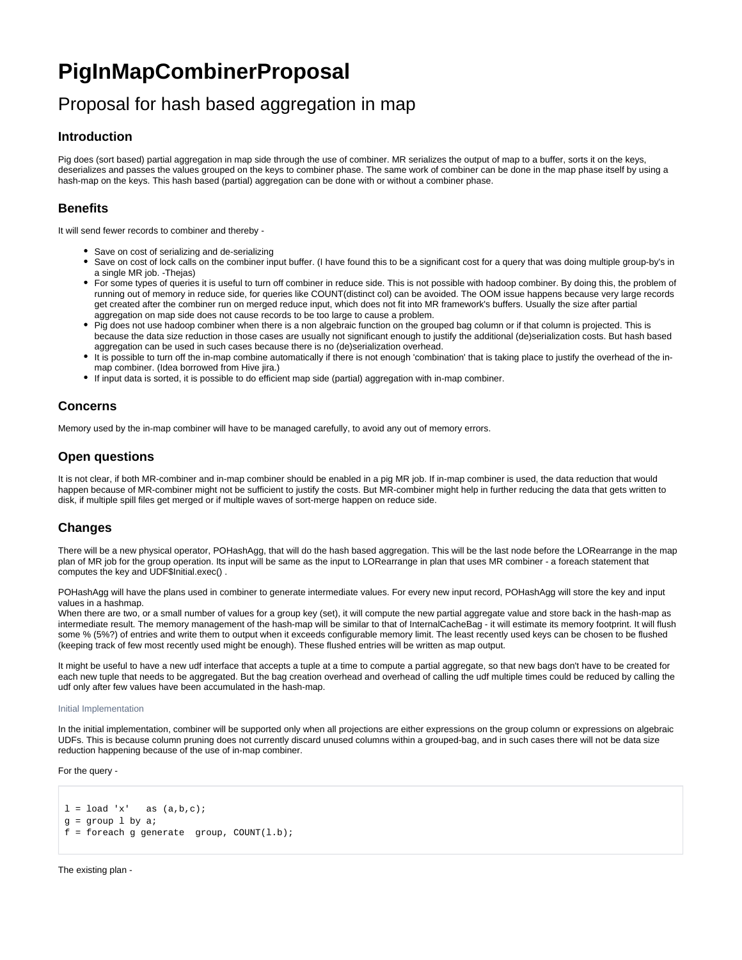# **PigInMapCombinerProposal**

# Proposal for hash based aggregation in map

## **Introduction**

Pig does (sort based) partial aggregation in map side through the use of combiner. MR serializes the output of map to a buffer, sorts it on the keys, deserializes and passes the values grouped on the keys to combiner phase. The same work of combiner can be done in the map phase itself by using a hash-map on the keys. This hash based (partial) aggregation can be done with or without a combiner phase.

# **Benefits**

It will send fewer records to combiner and thereby -

- Save on cost of serializing and de-serializing
- Save on cost of lock calls on the combiner input buffer. (I have found this to be a significant cost for a query that was doing multiple group-by's in a single MR job. -Thejas)
- For some types of queries it is useful to turn off combiner in reduce side. This is not possible with hadoop combiner. By doing this, the problem of running out of memory in reduce side, for queries like COUNT(distinct col) can be avoided. The OOM issue happens because very large records get created after the combiner run on merged reduce input, which does not fit into MR framework's buffers. Usually the size after partial aggregation on map side does not cause records to be too large to cause a problem.
- Pig does not use hadoop combiner when there is a non algebraic function on the grouped bag column or if that column is projected. This is because the data size reduction in those cases are usually not significant enough to justify the additional (de)serialization costs. But hash based aggregation can be used in such cases because there is no (de)serialization overhead.
- It is possible to turn off the in-map combine automatically if there is not enough 'combination' that is taking place to justify the overhead of the inmap combiner. (Idea borrowed from Hive jira.)
- If input data is sorted, it is possible to do efficient map side (partial) aggregation with in-map combiner.

## **Concerns**

Memory used by the in-map combiner will have to be managed carefully, to avoid any out of memory errors.

## **Open questions**

It is not clear, if both MR-combiner and in-map combiner should be enabled in a pig MR job. If in-map combiner is used, the data reduction that would happen because of MR-combiner might not be sufficient to justify the costs. But MR-combiner might help in further reducing the data that gets written to disk, if multiple spill files get merged or if multiple waves of sort-merge happen on reduce side.

## **Changes**

There will be a new physical operator, POHashAgg, that will do the hash based aggregation. This will be the last node before the LORearrange in the map plan of MR job for the group operation. Its input will be same as the input to LORearrange in plan that uses MR combiner - a foreach statement that computes the key and UDF\$Initial.exec() .

POHashAgg will have the plans used in combiner to generate intermediate values. For every new input record, POHashAgg will store the key and input values in a hashmap.

When there are two, or a small number of values for a group key (set), it will compute the new partial aggregate value and store back in the hash-map as intermediate result. The memory management of the hash-map will be similar to that of InternalCacheBag - it will estimate its memory footprint. It will flush some % (5%?) of entries and write them to output when it exceeds configurable memory limit. The least recently used keys can be chosen to be flushed (keeping track of few most recently used might be enough). These flushed entries will be written as map output.

It might be useful to have a new udf interface that accepts a tuple at a time to compute a partial aggregate, so that new bags don't have to be created for each new tuple that needs to be aggregated. But the bag creation overhead and overhead of calling the udf multiple times could be reduced by calling the udf only after few values have been accumulated in the hash-map.

#### Initial Implementation

In the initial implementation, combiner will be supported only when all projections are either expressions on the group column or expressions on algebraic UDFs. This is because column pruning does not currently discard unused columns within a grouped-bag, and in such cases there will not be data size reduction happening because of the use of in-map combiner.

For the query -

```
l = load 'x' as (a,b,c);
g = group l by a;
f = foreach g generate group, COUNT(1.b);
```
The existing plan -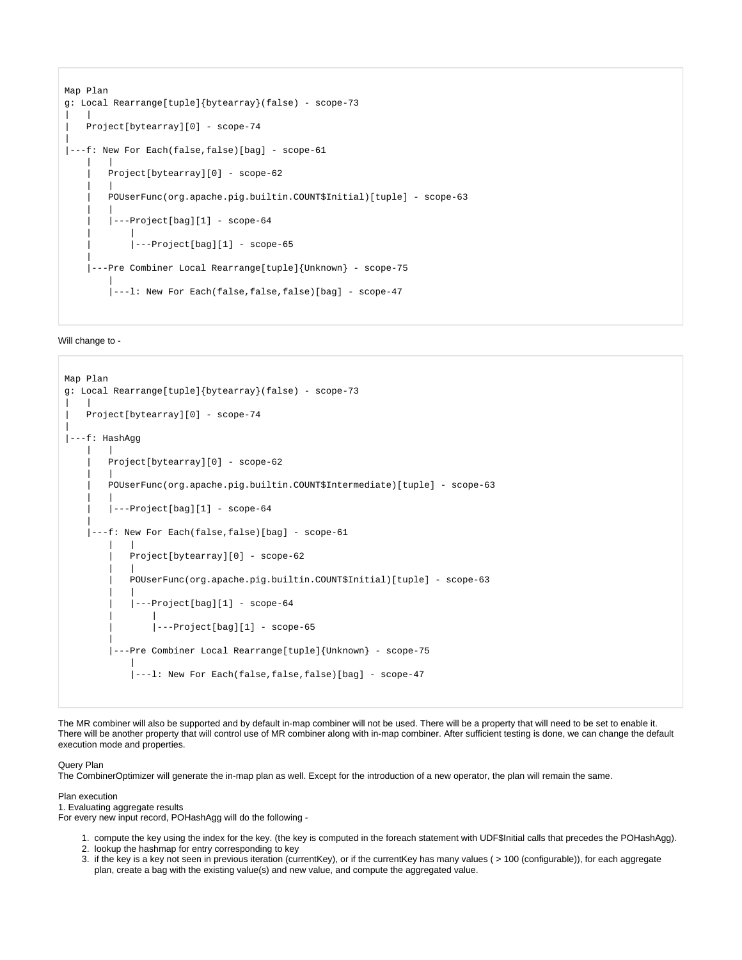```
Map Plan
g: Local Rearrange[tuple]{bytearray}(false) - scope-73
| |
    | Project[bytearray][0] - scope-74
|
|---f: New For Each(false,false)[bag] - scope-61
| | | |
         | Project[bytearray][0] - scope-62
| | | |
         | POUserFunc(org.apache.pig.builtin.COUNT$Initial)[tuple] - scope-63
| | | |
         | |---Project[bag][1] - scope-64
 | |
            |---Project[bag][1] - scope-65 |
      |---Pre Combiner Local Rearrange[tuple]{Unknown} - scope-75
|| || || || || ||
         |---l: New For Each(false,false,false)[bag] - scope-47
```
### Will change to -

```
Map Plan
g: Local Rearrange[tuple]{bytearray}(false) - scope-73
| |
   | Project[bytearray][0] - scope-74
|
|---f: HashAgg 
| | | |
        | Project[bytearray][0] - scope-62
| | | |
        | POUserFunc(org.apache.pig.builtin.COUNT$Intermediate)[tuple] - scope-63
| | | |
        |---Project[bag][1] - scope-64 |
    ---f: New For Each(false,false)[bag] - scope-61
 | |
            | Project[bytearray][0] - scope-62
 | |
            | POUserFunc(org.apache.pig.builtin.COUNT$Initial)[tuple] - scope-63
 | |
            | |---Project[bag][1] - scope-64
 | |
                 | |---Project[bag][1] - scope-65
|| || || || || ||
         |---Pre Combiner Local Rearrange[tuple]{Unknown} - scope-75
 |
             |---l: New For Each(false,false,false)[bag] - scope-47
```
The MR combiner will also be supported and by default in-map combiner will not be used. There will be a property that will need to be set to enable it. There will be another property that will control use of MR combiner along with in-map combiner. After sufficient testing is done, we can change the default execution mode and properties.

### Query Plan

The CombinerOptimizer will generate the in-map plan as well. Except for the introduction of a new operator, the plan will remain the same.

#### Plan execution 1. Evaluating aggregate results

For every new input record, POHashAgg will do the following -

- 1. compute the key using the index for the key. (the key is computed in the foreach statement with UDF\$Initial calls that precedes the POHashAgg).
- 2. lookup the hashmap for entry corresponding to key
- 3. if the key is a key not seen in previous iteration (currentKey), or if the currentKey has many values ( > 100 (configurable)), for each aggregate plan, create a bag with the existing value(s) and new value, and compute the aggregated value.